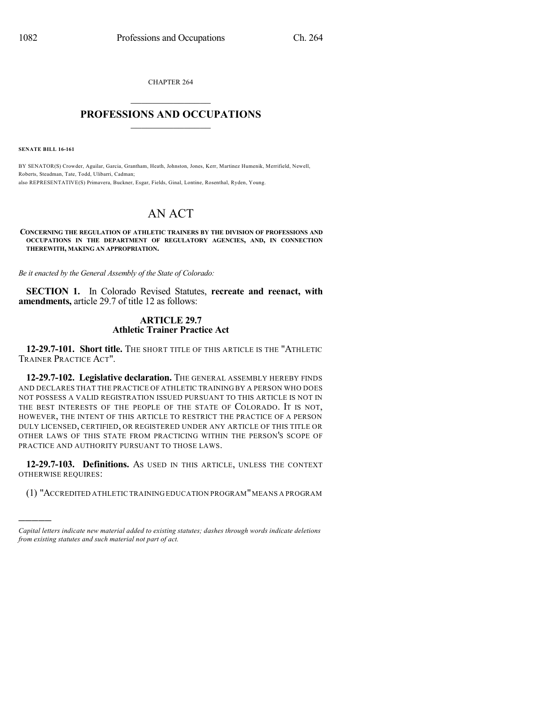CHAPTER 264

## $\mathcal{L}_\text{max}$  . The set of the set of the set of the set of the set of the set of the set of the set of the set of the set of the set of the set of the set of the set of the set of the set of the set of the set of the set **PROFESSIONS AND OCCUPATIONS**  $\frac{1}{2}$  ,  $\frac{1}{2}$  ,  $\frac{1}{2}$  ,  $\frac{1}{2}$  ,  $\frac{1}{2}$  ,  $\frac{1}{2}$  ,  $\frac{1}{2}$

**SENATE BILL 16-161**

)))))

BY SENATOR(S) Crowder, Aguilar, Garcia, Grantham, Heath, Johnston, Jones, Kerr, Martinez Humenik, Merrifield, Newell, Roberts, Steadman, Tate, Todd, Ulibarri, Cadman; also REPRESENTATIVE(S) Primavera, Buckner, Esgar, Fields, Ginal, Lontine, Rosenthal, Ryden, Young.

## AN ACT

**CONCERNING THE REGULATION OF ATHLETIC TRAINERS BY THE DIVISION OF PROFESSIONS AND OCCUPATIONS IN THE DEPARTMENT OF REGULATORY AGENCIES, AND, IN CONNECTION THEREWITH, MAKING AN APPROPRIATION.**

*Be it enacted by the General Assembly of the State of Colorado:*

**SECTION 1.** In Colorado Revised Statutes, **recreate and reenact, with amendments,** article 29.7 of title 12 as follows:

## **ARTICLE 29.7 Athletic Trainer Practice Act**

**12-29.7-101. Short title.** THE SHORT TITLE OF THIS ARTICLE IS THE "ATHLETIC TRAINER PRACTICE ACT".

**12-29.7-102. Legislative declaration.** THE GENERAL ASSEMBLY HEREBY FINDS AND DECLARES THAT THE PRACTICE OF ATHLETIC TRAINING BY A PERSON WHO DOES NOT POSSESS A VALID REGISTRATION ISSUED PURSUANT TO THIS ARTICLE IS NOT IN THE BEST INTERESTS OF THE PEOPLE OF THE STATE OF COLORADO. IT IS NOT, HOWEVER, THE INTENT OF THIS ARTICLE TO RESTRICT THE PRACTICE OF A PERSON DULY LICENSED, CERTIFIED, OR REGISTERED UNDER ANY ARTICLE OF THIS TITLE OR OTHER LAWS OF THIS STATE FROM PRACTICING WITHIN THE PERSON'S SCOPE OF PRACTICE AND AUTHORITY PURSUANT TO THOSE LAWS.

**12-29.7-103. Definitions.** AS USED IN THIS ARTICLE, UNLESS THE CONTEXT OTHERWISE REQUIRES:

(1) "ACCREDITED ATHLETIC TRAININGEDUCATION PROGRAM"MEANS A PROGRAM

*Capital letters indicate new material added to existing statutes; dashes through words indicate deletions from existing statutes and such material not part of act.*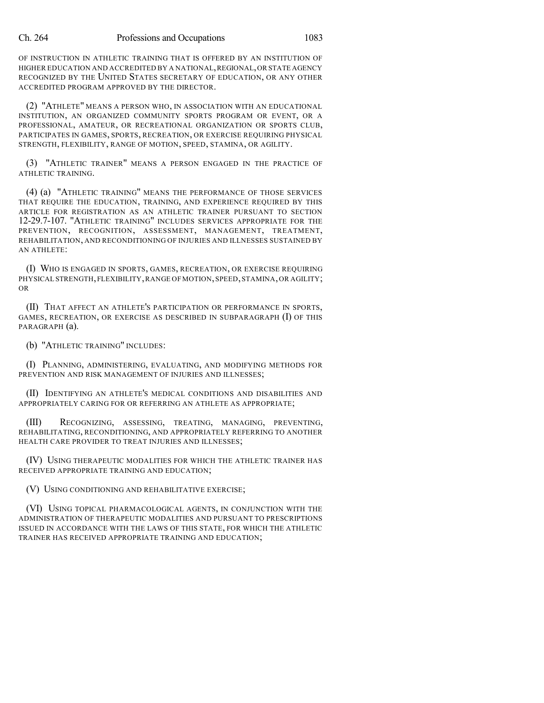OF INSTRUCTION IN ATHLETIC TRAINING THAT IS OFFERED BY AN INSTITUTION OF HIGHER EDUCATION AND ACCREDITED BY A NATIONAL, REGIONAL, OR STATE AGENCY RECOGNIZED BY THE UNITED STATES SECRETARY OF EDUCATION, OR ANY OTHER ACCREDITED PROGRAM APPROVED BY THE DIRECTOR.

(2) "ATHLETE" MEANS A PERSON WHO, IN ASSOCIATION WITH AN EDUCATIONAL INSTITUTION, AN ORGANIZED COMMUNITY SPORTS PROGRAM OR EVENT, OR A PROFESSIONAL, AMATEUR, OR RECREATIONAL ORGANIZATION OR SPORTS CLUB, PARTICIPATES IN GAMES, SPORTS, RECREATION, OR EXERCISE REQUIRING PHYSICAL STRENGTH, FLEXIBILITY, RANGE OF MOTION, SPEED, STAMINA, OR AGILITY.

(3) "ATHLETIC TRAINER" MEANS A PERSON ENGAGED IN THE PRACTICE OF ATHLETIC TRAINING.

(4) (a) "ATHLETIC TRAINING" MEANS THE PERFORMANCE OF THOSE SERVICES THAT REQUIRE THE EDUCATION, TRAINING, AND EXPERIENCE REQUIRED BY THIS ARTICLE FOR REGISTRATION AS AN ATHLETIC TRAINER PURSUANT TO SECTION 12-29.7-107. "ATHLETIC TRAINING" INCLUDES SERVICES APPROPRIATE FOR THE PREVENTION, RECOGNITION, ASSESSMENT, MANAGEMENT, TREATMENT, REHABILITATION, AND RECONDITIONING OF INJURIES AND ILLNESSES SUSTAINED BY AN ATHLETE:

(I) WHO IS ENGAGED IN SPORTS, GAMES, RECREATION, OR EXERCISE REQUIRING PHYSICAL STRENGTH, FLEXIBILITY, RANGE OF MOTION, SPEED, STAMINA, OR AGILITY; OR

(II) THAT AFFECT AN ATHLETE'S PARTICIPATION OR PERFORMANCE IN SPORTS, GAMES, RECREATION, OR EXERCISE AS DESCRIBED IN SUBPARAGRAPH (I) OF THIS PARAGRAPH (a).

(b) "ATHLETIC TRAINING" INCLUDES:

(I) PLANNING, ADMINISTERING, EVALUATING, AND MODIFYING METHODS FOR PREVENTION AND RISK MANAGEMENT OF INJURIES AND ILLNESSES;

(II) IDENTIFYING AN ATHLETE'S MEDICAL CONDITIONS AND DISABILITIES AND APPROPRIATELY CARING FOR OR REFERRING AN ATHLETE AS APPROPRIATE;

(III) RECOGNIZING, ASSESSING, TREATING, MANAGING, PREVENTING, REHABILITATING, RECONDITIONING, AND APPROPRIATELY REFERRING TO ANOTHER HEALTH CARE PROVIDER TO TREAT INJURIES AND ILLNESSES;

(IV) USING THERAPEUTIC MODALITIES FOR WHICH THE ATHLETIC TRAINER HAS RECEIVED APPROPRIATE TRAINING AND EDUCATION;

(V) USING CONDITIONING AND REHABILITATIVE EXERCISE;

(VI) USING TOPICAL PHARMACOLOGICAL AGENTS, IN CONJUNCTION WITH THE ADMINISTRATION OF THERAPEUTIC MODALITIES AND PURSUANT TO PRESCRIPTIONS ISSUED IN ACCORDANCE WITH THE LAWS OF THIS STATE, FOR WHICH THE ATHLETIC TRAINER HAS RECEIVED APPROPRIATE TRAINING AND EDUCATION;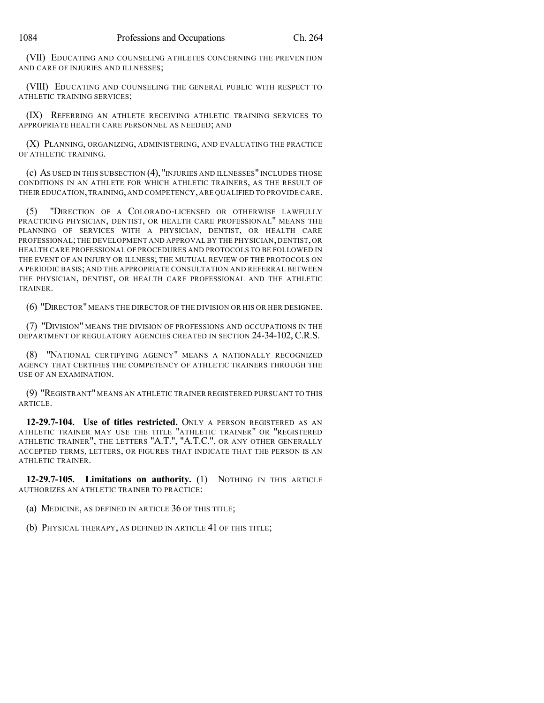(VII) EDUCATING AND COUNSELING ATHLETES CONCERNING THE PREVENTION AND CARE OF INJURIES AND ILLNESSES;

(VIII) EDUCATING AND COUNSELING THE GENERAL PUBLIC WITH RESPECT TO ATHLETIC TRAINING SERVICES;

(IX) REFERRING AN ATHLETE RECEIVING ATHLETIC TRAINING SERVICES TO APPROPRIATE HEALTH CARE PERSONNEL AS NEEDED; AND

(X) PLANNING, ORGANIZING, ADMINISTERING, AND EVALUATING THE PRACTICE OF ATHLETIC TRAINING.

(c) AS USED IN THIS SUBSECTION (4), "INJURIES AND ILLNESSES" INCLUDES THOSE CONDITIONS IN AN ATHLETE FOR WHICH ATHLETIC TRAINERS, AS THE RESULT OF THEIR EDUCATION,TRAINING, AND COMPETENCY, ARE QUALIFIED TO PROVIDE CARE.

(5) "DIRECTION OF A COLORADO-LICENSED OR OTHERWISE LAWFULLY PRACTICING PHYSICIAN, DENTIST, OR HEALTH CARE PROFESSIONAL" MEANS THE PLANNING OF SERVICES WITH A PHYSICIAN, DENTIST, OR HEALTH CARE PROFESSIONAL;THE DEVELOPMENT AND APPROVAL BY THE PHYSICIAN, DENTIST, OR HEALTH CARE PROFESSIONAL OF PROCEDURES AND PROTOCOLS TO BE FOLLOWED IN THE EVENT OF AN INJURY OR ILLNESS; THE MUTUAL REVIEW OF THE PROTOCOLS ON A PERIODIC BASIS; AND THE APPROPRIATE CONSULTATION AND REFERRAL BETWEEN THE PHYSICIAN, DENTIST, OR HEALTH CARE PROFESSIONAL AND THE ATHLETIC TRAINER.

(6) "DIRECTOR" MEANS THE DIRECTOR OF THE DIVISION OR HIS OR HER DESIGNEE.

(7) "DIVISION" MEANS THE DIVISION OF PROFESSIONS AND OCCUPATIONS IN THE DEPARTMENT OF REGULATORY AGENCIES CREATED IN SECTION 24-34-102, C.R.S.

(8) "NATIONAL CERTIFYING AGENCY" MEANS A NATIONALLY RECOGNIZED AGENCY THAT CERTIFIES THE COMPETENCY OF ATHLETIC TRAINERS THROUGH THE USE OF AN EXAMINATION.

(9) "REGISTRANT" MEANS AN ATHLETIC TRAINER REGISTERED PURSUANT TO THIS ARTICLE.

**12-29.7-104. Use of titles restricted.** ONLY A PERSON REGISTERED AS AN ATHLETIC TRAINER MAY USE THE TITLE "ATHLETIC TRAINER" OR "REGISTERED ATHLETIC TRAINER", THE LETTERS "A.T.", "A.T.C.", OR ANY OTHER GENERALLY ACCEPTED TERMS, LETTERS, OR FIGURES THAT INDICATE THAT THE PERSON IS AN ATHLETIC TRAINER.

**12-29.7-105. Limitations on authority.** (1) NOTHING IN THIS ARTICLE AUTHORIZES AN ATHLETIC TRAINER TO PRACTICE:

(a) MEDICINE, AS DEFINED IN ARTICLE 36 OF THIS TITLE;

(b) PHYSICAL THERAPY, AS DEFINED IN ARTICLE 41 OF THIS TITLE;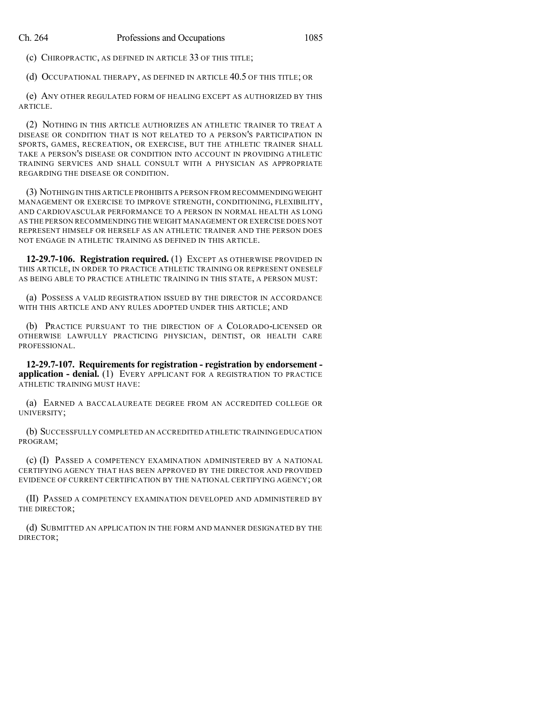(c) CHIROPRACTIC, AS DEFINED IN ARTICLE 33 OF THIS TITLE;

(d) OCCUPATIONAL THERAPY, AS DEFINED IN ARTICLE 40.5 OF THIS TITLE; OR

(e) ANY OTHER REGULATED FORM OF HEALING EXCEPT AS AUTHORIZED BY THIS ARTICLE.

(2) NOTHING IN THIS ARTICLE AUTHORIZES AN ATHLETIC TRAINER TO TREAT A DISEASE OR CONDITION THAT IS NOT RELATED TO A PERSON'S PARTICIPATION IN SPORTS, GAMES, RECREATION, OR EXERCISE, BUT THE ATHLETIC TRAINER SHALL TAKE A PERSON'S DISEASE OR CONDITION INTO ACCOUNT IN PROVIDING ATHLETIC TRAINING SERVICES AND SHALL CONSULT WITH A PHYSICIAN AS APPROPRIATE REGARDING THE DISEASE OR CONDITION.

(3) NOTHING IN THIS ARTICLE PROHIBITS A PERSON FROM RECOMMENDINGWEIGHT MANAGEMENT OR EXERCISE TO IMPROVE STRENGTH, CONDITIONING, FLEXIBILITY, AND CARDIOVASCULAR PERFORMANCE TO A PERSON IN NORMAL HEALTH AS LONG AS THE PERSON RECOMMENDING THE WEIGHT MANAGEMENT OR EXERCISE DOES NOT REPRESENT HIMSELF OR HERSELF AS AN ATHLETIC TRAINER AND THE PERSON DOES NOT ENGAGE IN ATHLETIC TRAINING AS DEFINED IN THIS ARTICLE.

**12-29.7-106. Registration required.** (1) EXCEPT AS OTHERWISE PROVIDED IN THIS ARTICLE, IN ORDER TO PRACTICE ATHLETIC TRAINING OR REPRESENT ONESELF AS BEING ABLE TO PRACTICE ATHLETIC TRAINING IN THIS STATE, A PERSON MUST:

(a) POSSESS A VALID REGISTRATION ISSUED BY THE DIRECTOR IN ACCORDANCE WITH THIS ARTICLE AND ANY RULES ADOPTED UNDER THIS ARTICLE; AND

(b) PRACTICE PURSUANT TO THE DIRECTION OF A COLORADO-LICENSED OR OTHERWISE LAWFULLY PRACTICING PHYSICIAN, DENTIST, OR HEALTH CARE PROFESSIONAL.

**12-29.7-107. Requirements for registration - registration by endorsement application - denial.** (1) EVERY APPLICANT FOR A REGISTRATION TO PRACTICE ATHLETIC TRAINING MUST HAVE:

(a) EARNED A BACCALAUREATE DEGREE FROM AN ACCREDITED COLLEGE OR UNIVERSITY;

(b) SUCCESSFULLY COMPLETED AN ACCREDITED ATHLETIC TRAINING EDUCATION PROGRAM;

(c) (I) PASSED A COMPETENCY EXAMINATION ADMINISTERED BY A NATIONAL CERTIFYING AGENCY THAT HAS BEEN APPROVED BY THE DIRECTOR AND PROVIDED EVIDENCE OF CURRENT CERTIFICATION BY THE NATIONAL CERTIFYING AGENCY; OR

(II) PASSED A COMPETENCY EXAMINATION DEVELOPED AND ADMINISTERED BY THE DIRECTOR;

(d) SUBMITTED AN APPLICATION IN THE FORM AND MANNER DESIGNATED BY THE DIRECTOR;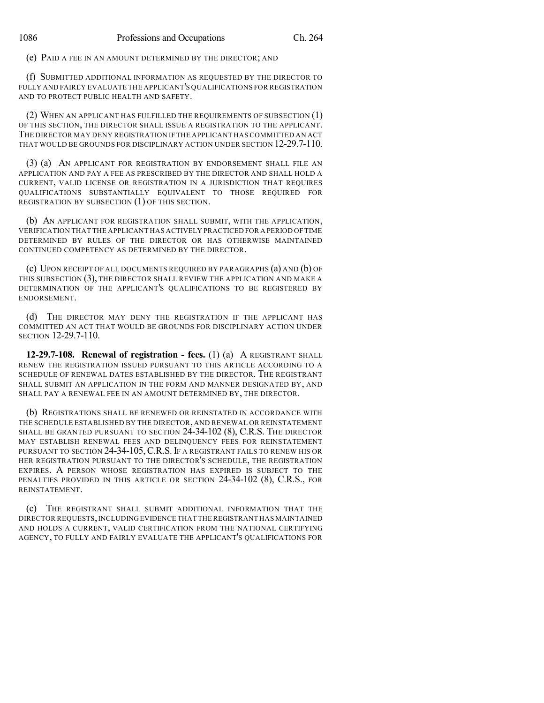(e) PAID A FEE IN AN AMOUNT DETERMINED BY THE DIRECTOR; AND

(f) SUBMITTED ADDITIONAL INFORMATION AS REQUESTED BY THE DIRECTOR TO FULLY AND FAIRLY EVALUATE THE APPLICANT'S QUALIFICATIONS FOR REGISTRATION AND TO PROTECT PUBLIC HEALTH AND SAFETY.

(2) WHEN AN APPLICANT HAS FULFILLED THE REQUIREMENTS OF SUBSECTION (1) OF THIS SECTION, THE DIRECTOR SHALL ISSUE A REGISTRATION TO THE APPLICANT. THE DIRECTOR MAY DENY REGISTRATION IF THE APPLICANT HAS COMMITTED AN ACT THAT WOULD BE GROUNDS FOR DISCIPLINARY ACTION UNDER SECTION 12-29.7-110.

(3) (a) AN APPLICANT FOR REGISTRATION BY ENDORSEMENT SHALL FILE AN APPLICATION AND PAY A FEE AS PRESCRIBED BY THE DIRECTOR AND SHALL HOLD A CURRENT, VALID LICENSE OR REGISTRATION IN A JURISDICTION THAT REQUIRES QUALIFICATIONS SUBSTANTIALLY EQUIVALENT TO THOSE REQUIRED FOR REGISTRATION BY SUBSECTION (1) OF THIS SECTION.

(b) AN APPLICANT FOR REGISTRATION SHALL SUBMIT, WITH THE APPLICATION, VERIFICATION THAT THE APPLICANT HAS ACTIVELY PRACTICED FOR A PERIOD OFTIME DETERMINED BY RULES OF THE DIRECTOR OR HAS OTHERWISE MAINTAINED CONTINUED COMPETENCY AS DETERMINED BY THE DIRECTOR.

(c) UPON RECEIPT OF ALL DOCUMENTS REQUIRED BY PARAGRAPHS (a) AND (b) OF THIS SUBSECTION (3), THE DIRECTOR SHALL REVIEW THE APPLICATION AND MAKE A DETERMINATION OF THE APPLICANT'S QUALIFICATIONS TO BE REGISTERED BY ENDORSEMENT.

(d) THE DIRECTOR MAY DENY THE REGISTRATION IF THE APPLICANT HAS COMMITTED AN ACT THAT WOULD BE GROUNDS FOR DISCIPLINARY ACTION UNDER SECTION 12-29.7-110.

**12-29.7-108. Renewal of registration - fees.** (1) (a) A REGISTRANT SHALL RENEW THE REGISTRATION ISSUED PURSUANT TO THIS ARTICLE ACCORDING TO A SCHEDULE OF RENEWAL DATES ESTABLISHED BY THE DIRECTOR. THE REGISTRANT SHALL SUBMIT AN APPLICATION IN THE FORM AND MANNER DESIGNATED BY, AND SHALL PAY A RENEWAL FEE IN AN AMOUNT DETERMINED BY, THE DIRECTOR.

(b) REGISTRATIONS SHALL BE RENEWED OR REINSTATED IN ACCORDANCE WITH THE SCHEDULE ESTABLISHED BY THE DIRECTOR, AND RENEWAL OR REINSTATEMENT SHALL BE GRANTED PURSUANT TO SECTION 24-34-102 (8), C.R.S. THE DIRECTOR MAY ESTABLISH RENEWAL FEES AND DELINQUENCY FEES FOR REINSTATEMENT PURSUANT TO SECTION 24-34-105, C.R.S. IF A REGISTRANT FAILS TO RENEW HIS OR HER REGISTRATION PURSUANT TO THE DIRECTOR'S SCHEDULE, THE REGISTRATION EXPIRES. A PERSON WHOSE REGISTRATION HAS EXPIRED IS SUBJECT TO THE PENALTIES PROVIDED IN THIS ARTICLE OR SECTION 24-34-102 (8), C.R.S., FOR REINSTATEMENT.

(c) THE REGISTRANT SHALL SUBMIT ADDITIONAL INFORMATION THAT THE DIRECTOR REQUESTS,INCLUDINGEVIDENCE THAT THE REGISTRANT HAS MAINTAINED AND HOLDS A CURRENT, VALID CERTIFICATION FROM THE NATIONAL CERTIFYING AGENCY, TO FULLY AND FAIRLY EVALUATE THE APPLICANT'S QUALIFICATIONS FOR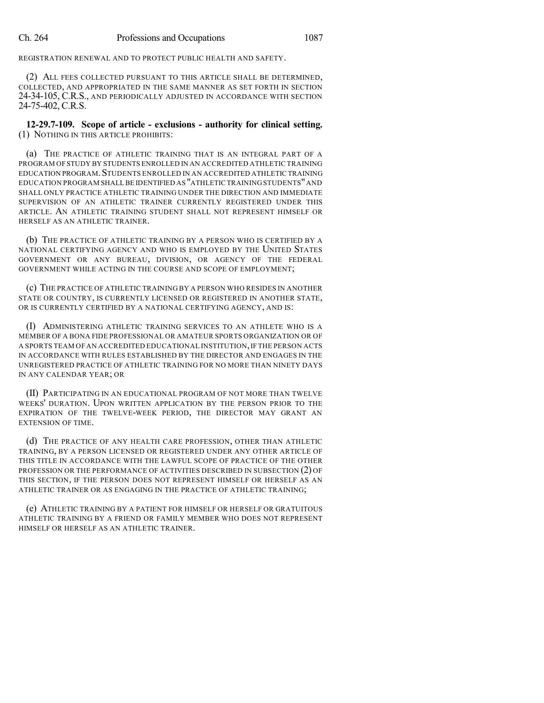REGISTRATION RENEWAL AND TO PROTECT PUBLIC HEALTH AND SAFETY.

(2) ALL FEES COLLECTED PURSUANT TO THIS ARTICLE SHALL BE DETERMINED, COLLECTED, AND APPROPRIATED IN THE SAME MANNER AS SET FORTH IN SECTION 24-34-105, C.R.S., AND PERIODICALLY ADJUSTED IN ACCORDANCE WITH SECTION 24-75-402, C.R.S.

**12-29.7-109. Scope of article - exclusions - authority for clinical setting.** (1) NOTHING IN THIS ARTICLE PROHIBITS:

(a) THE PRACTICE OF ATHLETIC TRAINING THAT IS AN INTEGRAL PART OF A PROGRAM OFSTUDY BY STUDENTS ENROLLED IN AN ACCREDITED ATHLETIC TRAINING EDUCATION PROGRAM.STUDENTS ENROLLED IN AN ACCREDITED ATHLETIC TRAINING EDUCATION PROGRAM SHALL BE IDENTIFIED AS "ATHLETIC TRAININGSTUDENTS"AND SHALL ONLY PRACTICE ATHLETIC TRAINING UNDER THE DIRECTION AND IMMEDIATE SUPERVISION OF AN ATHLETIC TRAINER CURRENTLY REGISTERED UNDER THIS ARTICLE. AN ATHLETIC TRAINING STUDENT SHALL NOT REPRESENT HIMSELF OR HERSELF AS AN ATHLETIC TRAINER.

(b) THE PRACTICE OF ATHLETIC TRAINING BY A PERSON WHO IS CERTIFIED BY A NATIONAL CERTIFYING AGENCY AND WHO IS EMPLOYED BY THE UNITED STATES GOVERNMENT OR ANY BUREAU, DIVISION, OR AGENCY OF THE FEDERAL GOVERNMENT WHILE ACTING IN THE COURSE AND SCOPE OF EMPLOYMENT;

(c) THE PRACTICE OF ATHLETIC TRAINING BY A PERSON WHO RESIDES IN ANOTHER STATE OR COUNTRY, IS CURRENTLY LICENSED OR REGISTERED IN ANOTHER STATE, OR IS CURRENTLY CERTIFIED BY A NATIONAL CERTIFYING AGENCY, AND IS:

(I) ADMINISTERING ATHLETIC TRAINING SERVICES TO AN ATHLETE WHO IS A MEMBER OF A BONA FIDE PROFESSIONAL OR AMATEUR SPORTS ORGANIZATION OR OF A SPORTS TEAM OF AN ACCREDITED EDUCATIONAL INSTITUTION,IF THE PERSON ACTS IN ACCORDANCE WITH RULES ESTABLISHED BY THE DIRECTOR AND ENGAGES IN THE UNREGISTERED PRACTICE OF ATHLETIC TRAINING FOR NO MORE THAN NINETY DAYS IN ANY CALENDAR YEAR; OR

(II) PARTICIPATING IN AN EDUCATIONAL PROGRAM OF NOT MORE THAN TWELVE WEEKS' DURATION. UPON WRITTEN APPLICATION BY THE PERSON PRIOR TO THE EXPIRATION OF THE TWELVE-WEEK PERIOD, THE DIRECTOR MAY GRANT AN EXTENSION OF TIME.

(d) THE PRACTICE OF ANY HEALTH CARE PROFESSION, OTHER THAN ATHLETIC TRAINING, BY A PERSON LICENSED OR REGISTERED UNDER ANY OTHER ARTICLE OF THIS TITLE IN ACCORDANCE WITH THE LAWFUL SCOPE OF PRACTICE OF THE OTHER PROFESSION OR THE PERFORMANCE OF ACTIVITIES DESCRIBED IN SUBSECTION (2) OF THIS SECTION, IF THE PERSON DOES NOT REPRESENT HIMSELF OR HERSELF AS AN ATHLETIC TRAINER OR AS ENGAGING IN THE PRACTICE OF ATHLETIC TRAINING;

(e) ATHLETIC TRAINING BY A PATIENT FOR HIMSELF OR HERSELF OR GRATUITOUS ATHLETIC TRAINING BY A FRIEND OR FAMILY MEMBER WHO DOES NOT REPRESENT HIMSELF OR HERSELF AS AN ATHLETIC TRAINER.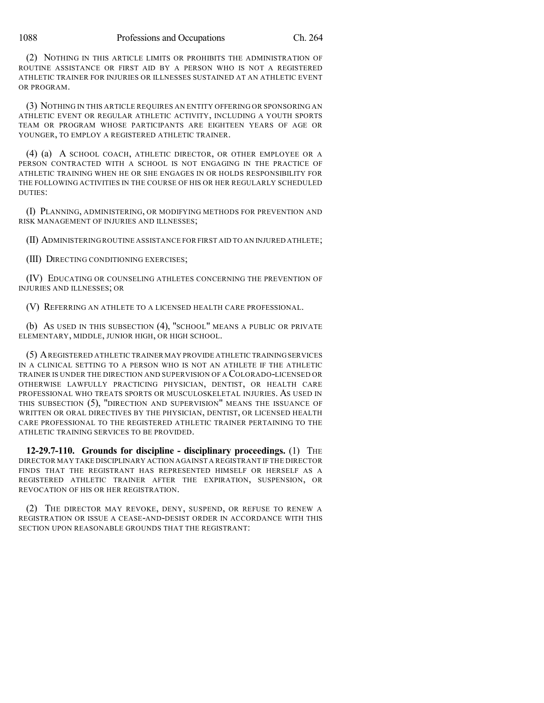(2) NOTHING IN THIS ARTICLE LIMITS OR PROHIBITS THE ADMINISTRATION OF ROUTINE ASSISTANCE OR FIRST AID BY A PERSON WHO IS NOT A REGISTERED ATHLETIC TRAINER FOR INJURIES OR ILLNESSES SUSTAINED AT AN ATHLETIC EVENT OR PROGRAM.

(3) NOTHING IN THIS ARTICLE REQUIRES AN ENTITY OFFERING OR SPONSORING AN ATHLETIC EVENT OR REGULAR ATHLETIC ACTIVITY, INCLUDING A YOUTH SPORTS TEAM OR PROGRAM WHOSE PARTICIPANTS ARE EIGHTEEN YEARS OF AGE OR YOUNGER, TO EMPLOY A REGISTERED ATHLETIC TRAINER.

(4) (a) A SCHOOL COACH, ATHLETIC DIRECTOR, OR OTHER EMPLOYEE OR A PERSON CONTRACTED WITH A SCHOOL IS NOT ENGAGING IN THE PRACTICE OF ATHLETIC TRAINING WHEN HE OR SHE ENGAGES IN OR HOLDS RESPONSIBILITY FOR THE FOLLOWING ACTIVITIES IN THE COURSE OF HIS OR HER REGULARLY SCHEDULED DUTIES:

(I) PLANNING, ADMINISTERING, OR MODIFYING METHODS FOR PREVENTION AND RISK MANAGEMENT OF INJURIES AND ILLNESSES;

(II) ADMINISTERINGROUTINE ASSISTANCE FOR FIRST AID TO AN INJURED ATHLETE;

(III) DIRECTING CONDITIONING EXERCISES;

(IV) EDUCATING OR COUNSELING ATHLETES CONCERNING THE PREVENTION OF INJURIES AND ILLNESSES; OR

(V) REFERRING AN ATHLETE TO A LICENSED HEALTH CARE PROFESSIONAL.

(b) AS USED IN THIS SUBSECTION (4), "SCHOOL" MEANS A PUBLIC OR PRIVATE ELEMENTARY, MIDDLE, JUNIOR HIGH, OR HIGH SCHOOL.

(5) AREGISTERED ATHLETIC TRAINER MAY PROVIDE ATHLETIC TRAININGSERVICES IN A CLINICAL SETTING TO A PERSON WHO IS NOT AN ATHLETE IF THE ATHLETIC TRAINER IS UNDER THE DIRECTION AND SUPERVISION OF A COLORADO-LICENSED OR OTHERWISE LAWFULLY PRACTICING PHYSICIAN, DENTIST, OR HEALTH CARE PROFESSIONAL WHO TREATS SPORTS OR MUSCULOSKELETAL INJURIES. AS USED IN THIS SUBSECTION (5), "DIRECTION AND SUPERVISION" MEANS THE ISSUANCE OF WRITTEN OR ORAL DIRECTIVES BY THE PHYSICIAN, DENTIST, OR LICENSED HEALTH CARE PROFESSIONAL TO THE REGISTERED ATHLETIC TRAINER PERTAINING TO THE ATHLETIC TRAINING SERVICES TO BE PROVIDED.

**12-29.7-110. Grounds for discipline - disciplinary proceedings.** (1) THE DIRECTOR MAY TAKE DISCIPLINARY ACTION AGAINST A REGISTRANT IF THE DIRECTOR FINDS THAT THE REGISTRANT HAS REPRESENTED HIMSELF OR HERSELF AS A REGISTERED ATHLETIC TRAINER AFTER THE EXPIRATION, SUSPENSION, OR REVOCATION OF HIS OR HER REGISTRATION.

(2) THE DIRECTOR MAY REVOKE, DENY, SUSPEND, OR REFUSE TO RENEW A REGISTRATION OR ISSUE A CEASE-AND-DESIST ORDER IN ACCORDANCE WITH THIS SECTION UPON REASONABLE GROUNDS THAT THE REGISTRANT: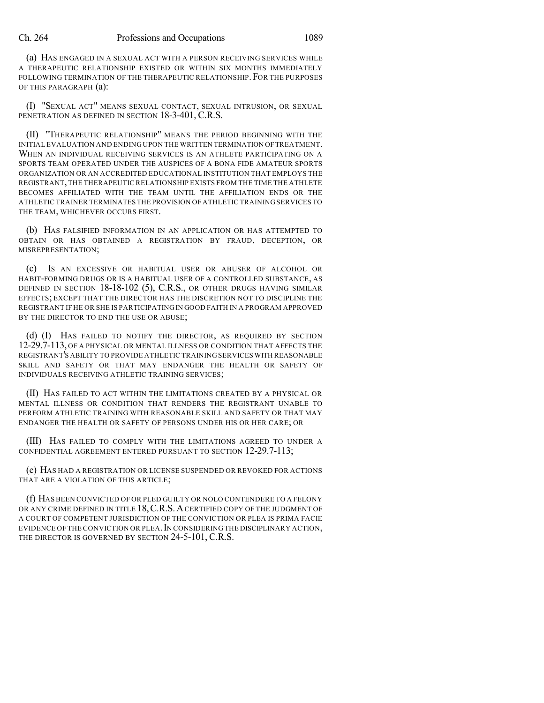(a) HAS ENGAGED IN A SEXUAL ACT WITH A PERSON RECEIVING SERVICES WHILE A THERAPEUTIC RELATIONSHIP EXISTED OR WITHIN SIX MONTHS IMMEDIATELY FOLLOWING TERMINATION OF THE THERAPEUTIC RELATIONSHIP. FOR THE PURPOSES OF THIS PARAGRAPH (a):

(I) "SEXUAL ACT" MEANS SEXUAL CONTACT, SEXUAL INTRUSION, OR SEXUAL PENETRATION AS DEFINED IN SECTION 18-3-401, C.R.S.

(II) "THERAPEUTIC RELATIONSHIP" MEANS THE PERIOD BEGINNING WITH THE INITIAL EVALUATION AND ENDING UPON THE WRITTEN TERMINATION OFTREATMENT. WHEN AN INDIVIDUAL RECEIVING SERVICES IS AN ATHLETE PARTICIPATING ON A SPORTS TEAM OPERATED UNDER THE AUSPICES OF A BONA FIDE AMATEUR SPORTS ORGANIZATION OR AN ACCREDITED EDUCATIONAL INSTITUTION THAT EMPLOYS THE REGISTRANT,THE THERAPEUTIC RELATIONSHIP EXISTS FROM THE TIME THE ATHLETE BECOMES AFFILIATED WITH THE TEAM UNTIL THE AFFILIATION ENDS OR THE ATHLETIC TRAINER TERMINATES THE PROVISION OF ATHLETIC TRAININGSERVICES TO THE TEAM, WHICHEVER OCCURS FIRST.

(b) HAS FALSIFIED INFORMATION IN AN APPLICATION OR HAS ATTEMPTED TO OBTAIN OR HAS OBTAINED A REGISTRATION BY FRAUD, DECEPTION, OR MISREPRESENTATION;

(c) IS AN EXCESSIVE OR HABITUAL USER OR ABUSER OF ALCOHOL OR HABIT-FORMING DRUGS OR IS A HABITUAL USER OF A CONTROLLED SUBSTANCE, AS DEFINED IN SECTION 18-18-102 (5), C.R.S., OR OTHER DRUGS HAVING SIMILAR EFFECTS; EXCEPT THAT THE DIRECTOR HAS THE DISCRETION NOT TO DISCIPLINE THE REGISTRANT IF HE OR SHE IS PARTICIPATINGIN GOOD FAITH IN A PROGRAM APPROVED BY THE DIRECTOR TO END THE USE OR ABUSE;

(d) (I) HAS FAILED TO NOTIFY THE DIRECTOR, AS REQUIRED BY SECTION 12-29.7-113, OF A PHYSICAL OR MENTAL ILLNESS OR CONDITION THAT AFFECTS THE REGISTRANT'S ABILITY TO PROVIDE ATHLETIC TRAINING SERVICES WITH REASONABLE SKILL AND SAFETY OR THAT MAY ENDANGER THE HEALTH OR SAFETY OF INDIVIDUALS RECEIVING ATHLETIC TRAINING SERVICES;

(II) HAS FAILED TO ACT WITHIN THE LIMITATIONS CREATED BY A PHYSICAL OR MENTAL ILLNESS OR CONDITION THAT RENDERS THE REGISTRANT UNABLE TO PERFORM ATHLETIC TRAINING WITH REASONABLE SKILL AND SAFETY OR THAT MAY ENDANGER THE HEALTH OR SAFETY OF PERSONS UNDER HIS OR HER CARE; OR

(III) HAS FAILED TO COMPLY WITH THE LIMITATIONS AGREED TO UNDER A CONFIDENTIAL AGREEMENT ENTERED PURSUANT TO SECTION 12-29.7-113;

(e) HAS HAD A REGISTRATION OR LICENSE SUSPENDED OR REVOKED FOR ACTIONS THAT ARE A VIOLATION OF THIS ARTICLE;

(f) HAS BEEN CONVICTED OF OR PLED GUILTY OR NOLO CONTENDERE TO A FELONY OR ANY CRIME DEFINED IN TITLE 18, C.R.S. A CERTIFIED COPY OF THE JUDGMENT OF A COURT OF COMPETENT JURISDICTION OF THE CONVICTION OR PLEA IS PRIMA FACIE EVIDENCE OF THE CONVICTION OR PLEA. IN CONSIDERING THE DISCIPLINARY ACTION, THE DIRECTOR IS GOVERNED BY SECTION 24-5-101, C.R.S.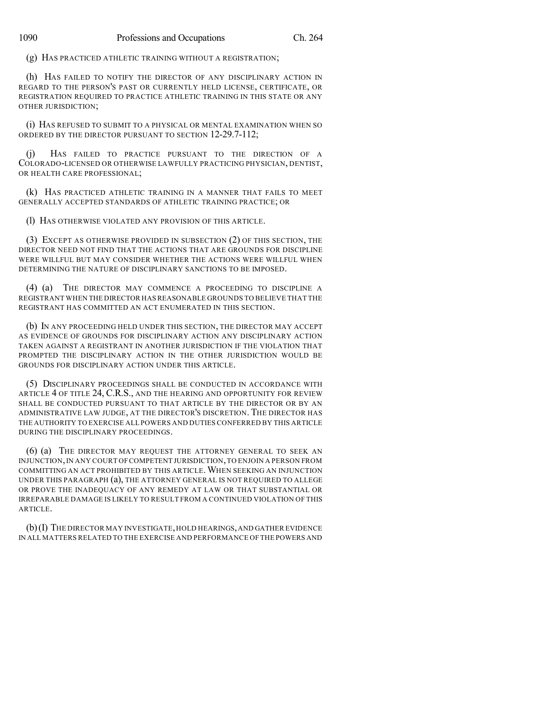(g) HAS PRACTICED ATHLETIC TRAINING WITHOUT A REGISTRATION;

(h) HAS FAILED TO NOTIFY THE DIRECTOR OF ANY DISCIPLINARY ACTION IN REGARD TO THE PERSON'S PAST OR CURRENTLY HELD LICENSE, CERTIFICATE, OR REGISTRATION REQUIRED TO PRACTICE ATHLETIC TRAINING IN THIS STATE OR ANY OTHER JURISDICTION;

(i) HAS REFUSED TO SUBMIT TO A PHYSICAL OR MENTAL EXAMINATION WHEN SO ORDERED BY THE DIRECTOR PURSUANT TO SECTION 12-29.7-112;

(j) HAS FAILED TO PRACTICE PURSUANT TO THE DIRECTION OF A COLORADO-LICENSED OR OTHERWISE LAWFULLY PRACTICING PHYSICIAN, DENTIST, OR HEALTH CARE PROFESSIONAL;

(k) HAS PRACTICED ATHLETIC TRAINING IN A MANNER THAT FAILS TO MEET GENERALLY ACCEPTED STANDARDS OF ATHLETIC TRAINING PRACTICE; OR

(l) HAS OTHERWISE VIOLATED ANY PROVISION OF THIS ARTICLE.

(3) EXCEPT AS OTHERWISE PROVIDED IN SUBSECTION (2) OF THIS SECTION, THE DIRECTOR NEED NOT FIND THAT THE ACTIONS THAT ARE GROUNDS FOR DISCIPLINE WERE WILLFUL BUT MAY CONSIDER WHETHER THE ACTIONS WERE WILLFUL WHEN DETERMINING THE NATURE OF DISCIPLINARY SANCTIONS TO BE IMPOSED.

(4) (a) THE DIRECTOR MAY COMMENCE A PROCEEDING TO DISCIPLINE A REGISTRANT WHEN THE DIRECTOR HASREASONABLE GROUNDS TO BELIEVE THAT THE REGISTRANT HAS COMMITTED AN ACT ENUMERATED IN THIS SECTION.

(b) IN ANY PROCEEDING HELD UNDER THIS SECTION, THE DIRECTOR MAY ACCEPT AS EVIDENCE OF GROUNDS FOR DISCIPLINARY ACTION ANY DISCIPLINARY ACTION TAKEN AGAINST A REGISTRANT IN ANOTHER JURISDICTION IF THE VIOLATION THAT PROMPTED THE DISCIPLINARY ACTION IN THE OTHER JURISDICTION WOULD BE GROUNDS FOR DISCIPLINARY ACTION UNDER THIS ARTICLE.

(5) DISCIPLINARY PROCEEDINGS SHALL BE CONDUCTED IN ACCORDANCE WITH ARTICLE 4 OF TITLE 24, C.R.S., AND THE HEARING AND OPPORTUNITY FOR REVIEW SHALL BE CONDUCTED PURSUANT TO THAT ARTICLE BY THE DIRECTOR OR BY AN ADMINISTRATIVE LAW JUDGE, AT THE DIRECTOR'S DISCRETION. THE DIRECTOR HAS THE AUTHORITY TO EXERCISE ALL POWERS AND DUTIES CONFERRED BY THIS ARTICLE DURING THE DISCIPLINARY PROCEEDINGS.

(6) (a) THE DIRECTOR MAY REQUEST THE ATTORNEY GENERAL TO SEEK AN INJUNCTION,IN ANY COURT OFCOMPETENT JURISDICTION,TO ENJOIN A PERSON FROM COMMITTING AN ACT PROHIBITED BY THIS ARTICLE.WHEN SEEKING AN INJUNCTION UNDER THIS PARAGRAPH (a), THE ATTORNEY GENERAL IS NOT REQUIRED TO ALLEGE OR PROVE THE INADEQUACY OF ANY REMEDY AT LAW OR THAT SUBSTANTIAL OR IRREPARABLE DAMAGE IS LIKELY TO RESULT FROM A CONTINUED VIOLATION OF THIS ARTICLE.

(b)(I) THE DIRECTOR MAY INVESTIGATE,HOLD HEARINGS,AND GATHER EVIDENCE IN ALL MATTERS RELATED TO THE EXERCISE AND PERFORMANCE OF THE POWERS AND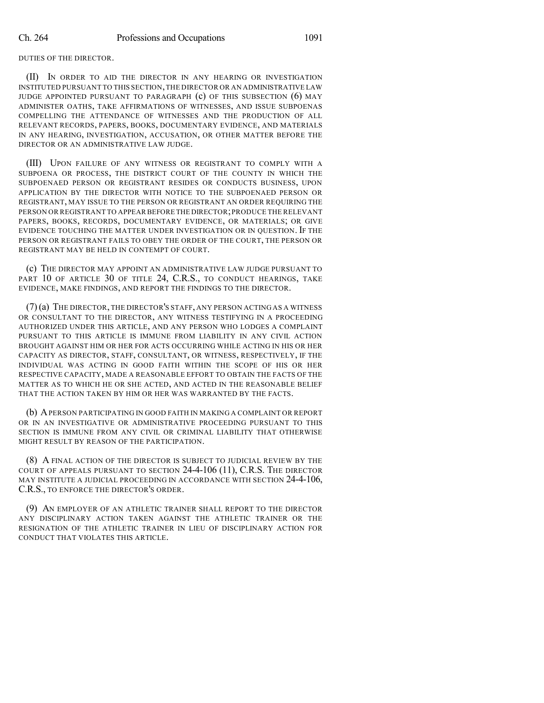DUTIES OF THE DIRECTOR.

(II) IN ORDER TO AID THE DIRECTOR IN ANY HEARING OR INVESTIGATION INSTITUTED PURSUANT TO THIS SECTION,THE DIRECTOR OR AN ADMINISTRATIVE LAW JUDGE APPOINTED PURSUANT TO PARAGRAPH (c) OF THIS SUBSECTION (6) MAY ADMINISTER OATHS, TAKE AFFIRMATIONS OF WITNESSES, AND ISSUE SUBPOENAS COMPELLING THE ATTENDANCE OF WITNESSES AND THE PRODUCTION OF ALL RELEVANT RECORDS, PAPERS, BOOKS, DOCUMENTARY EVIDENCE, AND MATERIALS IN ANY HEARING, INVESTIGATION, ACCUSATION, OR OTHER MATTER BEFORE THE DIRECTOR OR AN ADMINISTRATIVE LAW JUDGE.

(III) UPON FAILURE OF ANY WITNESS OR REGISTRANT TO COMPLY WITH A SUBPOENA OR PROCESS, THE DISTRICT COURT OF THE COUNTY IN WHICH THE SUBPOENAED PERSON OR REGISTRANT RESIDES OR CONDUCTS BUSINESS, UPON APPLICATION BY THE DIRECTOR WITH NOTICE TO THE SUBPOENAED PERSON OR REGISTRANT, MAY ISSUE TO THE PERSON OR REGISTRANT AN ORDER REQUIRING THE PERSON OR REGISTRANT TO APPEAR BEFORE THE DIRECTOR;PRODUCE THE RELEVANT PAPERS, BOOKS, RECORDS, DOCUMENTARY EVIDENCE, OR MATERIALS; OR GIVE EVIDENCE TOUCHING THE MATTER UNDER INVESTIGATION OR IN QUESTION. IF THE PERSON OR REGISTRANT FAILS TO OBEY THE ORDER OF THE COURT, THE PERSON OR REGISTRANT MAY BE HELD IN CONTEMPT OF COURT.

(c) THE DIRECTOR MAY APPOINT AN ADMINISTRATIVE LAW JUDGE PURSUANT TO PART 10 OF ARTICLE 30 OF TITLE 24, C.R.S., TO CONDUCT HEARINGS, TAKE EVIDENCE, MAKE FINDINGS, AND REPORT THE FINDINGS TO THE DIRECTOR.

(7)(a) THE DIRECTOR, THE DIRECTOR'S STAFF, ANY PERSON ACTING AS A WITNESS OR CONSULTANT TO THE DIRECTOR, ANY WITNESS TESTIFYING IN A PROCEEDING AUTHORIZED UNDER THIS ARTICLE, AND ANY PERSON WHO LODGES A COMPLAINT PURSUANT TO THIS ARTICLE IS IMMUNE FROM LIABILITY IN ANY CIVIL ACTION BROUGHT AGAINST HIM OR HER FOR ACTS OCCURRING WHILE ACTING IN HIS OR HER CAPACITY AS DIRECTOR, STAFF, CONSULTANT, OR WITNESS, RESPECTIVELY, IF THE INDIVIDUAL WAS ACTING IN GOOD FAITH WITHIN THE SCOPE OF HIS OR HER RESPECTIVE CAPACITY, MADE A REASONABLE EFFORT TO OBTAIN THE FACTS OF THE MATTER AS TO WHICH HE OR SHE ACTED, AND ACTED IN THE REASONABLE BELIEF THAT THE ACTION TAKEN BY HIM OR HER WAS WARRANTED BY THE FACTS.

(b) APERSON PARTICIPATING IN GOOD FAITH IN MAKING A COMPLAINT OR REPORT OR IN AN INVESTIGATIVE OR ADMINISTRATIVE PROCEEDING PURSUANT TO THIS SECTION IS IMMUNE FROM ANY CIVIL OR CRIMINAL LIABILITY THAT OTHERWISE MIGHT RESULT BY REASON OF THE PARTICIPATION.

(8) A FINAL ACTION OF THE DIRECTOR IS SUBJECT TO JUDICIAL REVIEW BY THE COURT OF APPEALS PURSUANT TO SECTION 24-4-106 (11), C.R.S. THE DIRECTOR MAY INSTITUTE A JUDICIAL PROCEEDING IN ACCORDANCE WITH SECTION 24-4-106, C.R.S., TO ENFORCE THE DIRECTOR'S ORDER.

(9) AN EMPLOYER OF AN ATHLETIC TRAINER SHALL REPORT TO THE DIRECTOR ANY DISCIPLINARY ACTION TAKEN AGAINST THE ATHLETIC TRAINER OR THE RESIGNATION OF THE ATHLETIC TRAINER IN LIEU OF DISCIPLINARY ACTION FOR CONDUCT THAT VIOLATES THIS ARTICLE.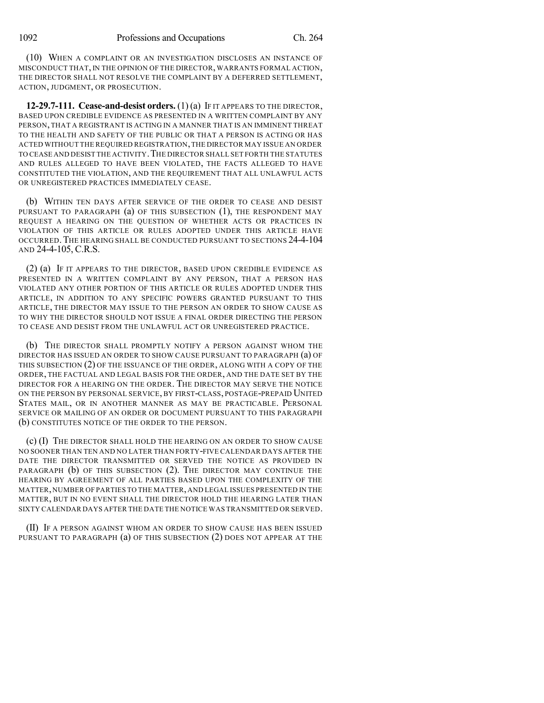(10) WHEN A COMPLAINT OR AN INVESTIGATION DISCLOSES AN INSTANCE OF MISCONDUCT THAT, IN THE OPINION OF THE DIRECTOR, WARRANTS FORMAL ACTION, THE DIRECTOR SHALL NOT RESOLVE THE COMPLAINT BY A DEFERRED SETTLEMENT, ACTION, JUDGMENT, OR PROSECUTION.

**12-29.7-111. Cease-and-desist orders.** (1) (a) IF IT APPEARS TO THE DIRECTOR, BASED UPON CREDIBLE EVIDENCE AS PRESENTED IN A WRITTEN COMPLAINT BY ANY PERSON, THAT A REGISTRANT IS ACTING IN A MANNER THAT IS AN IMMINENT THREAT TO THE HEALTH AND SAFETY OF THE PUBLIC OR THAT A PERSON IS ACTING OR HAS ACTED WITHOUT THE REQUIRED REGISTRATION,THE DIRECTOR MAY ISSUE AN ORDER TO CEASE AND DESIST THE ACTIVITY. THE DIRECTOR SHALL SET FORTH THE STATUTES AND RULES ALLEGED TO HAVE BEEN VIOLATED, THE FACTS ALLEGED TO HAVE CONSTITUTED THE VIOLATION, AND THE REQUIREMENT THAT ALL UNLAWFUL ACTS OR UNREGISTERED PRACTICES IMMEDIATELY CEASE.

(b) WITHIN TEN DAYS AFTER SERVICE OF THE ORDER TO CEASE AND DESIST PURSUANT TO PARAGRAPH (a) OF THIS SUBSECTION (1), THE RESPONDENT MAY REQUEST A HEARING ON THE QUESTION OF WHETHER ACTS OR PRACTICES IN VIOLATION OF THIS ARTICLE OR RULES ADOPTED UNDER THIS ARTICLE HAVE OCCURRED.THE HEARING SHALL BE CONDUCTED PURSUANT TO SECTIONS 24-4-104 AND 24-4-105, C.R.S.

(2) (a) IF IT APPEARS TO THE DIRECTOR, BASED UPON CREDIBLE EVIDENCE AS PRESENTED IN A WRITTEN COMPLAINT BY ANY PERSON, THAT A PERSON HAS VIOLATED ANY OTHER PORTION OF THIS ARTICLE OR RULES ADOPTED UNDER THIS ARTICLE, IN ADDITION TO ANY SPECIFIC POWERS GRANTED PURSUANT TO THIS ARTICLE, THE DIRECTOR MAY ISSUE TO THE PERSON AN ORDER TO SHOW CAUSE AS TO WHY THE DIRECTOR SHOULD NOT ISSUE A FINAL ORDER DIRECTING THE PERSON TO CEASE AND DESIST FROM THE UNLAWFUL ACT OR UNREGISTERED PRACTICE.

(b) THE DIRECTOR SHALL PROMPTLY NOTIFY A PERSON AGAINST WHOM THE DIRECTOR HAS ISSUED AN ORDER TO SHOW CAUSE PURSUANT TO PARAGRAPH (a) OF THIS SUBSECTION (2) OF THE ISSUANCE OF THE ORDER, ALONG WITH A COPY OF THE ORDER, THE FACTUAL AND LEGAL BASIS FOR THE ORDER, AND THE DATE SET BY THE DIRECTOR FOR A HEARING ON THE ORDER. THE DIRECTOR MAY SERVE THE NOTICE ON THE PERSON BY PERSONAL SERVICE, BY FIRST-CLASS, POSTAGE-PREPAID UNITED STATES MAIL, OR IN ANOTHER MANNER AS MAY BE PRACTICABLE. PERSONAL SERVICE OR MAILING OF AN ORDER OR DOCUMENT PURSUANT TO THIS PARAGRAPH (b) CONSTITUTES NOTICE OF THE ORDER TO THE PERSON.

(c) (I) THE DIRECTOR SHALL HOLD THE HEARING ON AN ORDER TO SHOW CAUSE NO SOONER THAN TEN AND NO LATER THAN FORTY-FIVE CALENDAR DAYS AFTER THE DATE THE DIRECTOR TRANSMITTED OR SERVED THE NOTICE AS PROVIDED IN PARAGRAPH (b) OF THIS SUBSECTION (2). THE DIRECTOR MAY CONTINUE THE HEARING BY AGREEMENT OF ALL PARTIES BASED UPON THE COMPLEXITY OF THE MATTER,NUMBER OF PARTIES TO THE MATTER,AND LEGAL ISSUES PRESENTED IN THE MATTER, BUT IN NO EVENT SHALL THE DIRECTOR HOLD THE HEARING LATER THAN SIXTY CALENDAR DAYS AFTER THE DATE THE NOTICE WAS TRANSMITTED OR SERVED.

(II) IF A PERSON AGAINST WHOM AN ORDER TO SHOW CAUSE HAS BEEN ISSUED PURSUANT TO PARAGRAPH (a) OF THIS SUBSECTION (2) DOES NOT APPEAR AT THE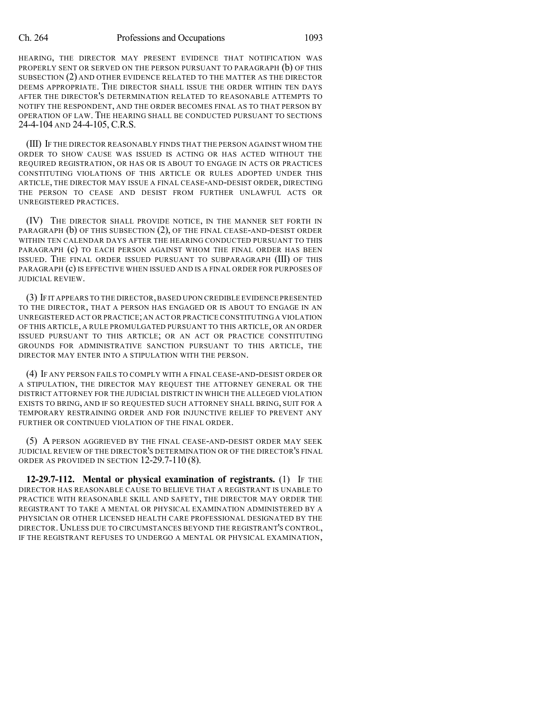## Ch. 264 Professions and Occupations 1093

HEARING, THE DIRECTOR MAY PRESENT EVIDENCE THAT NOTIFICATION WAS PROPERLY SENT OR SERVED ON THE PERSON PURSUANT TO PARAGRAPH (b) OF THIS SUBSECTION (2) AND OTHER EVIDENCE RELATED TO THE MATTER AS THE DIRECTOR DEEMS APPROPRIATE. THE DIRECTOR SHALL ISSUE THE ORDER WITHIN TEN DAYS AFTER THE DIRECTOR'S DETERMINATION RELATED TO REASONABLE ATTEMPTS TO NOTIFY THE RESPONDENT, AND THE ORDER BECOMES FINAL AS TO THAT PERSON BY OPERATION OF LAW. THE HEARING SHALL BE CONDUCTED PURSUANT TO SECTIONS 24-4-104 AND 24-4-105, C.R.S.

(III) IF THE DIRECTOR REASONABLY FINDS THAT THE PERSON AGAINST WHOM THE ORDER TO SHOW CAUSE WAS ISSUED IS ACTING OR HAS ACTED WITHOUT THE REQUIRED REGISTRATION, OR HAS OR IS ABOUT TO ENGAGE IN ACTS OR PRACTICES CONSTITUTING VIOLATIONS OF THIS ARTICLE OR RULES ADOPTED UNDER THIS ARTICLE, THE DIRECTOR MAY ISSUE A FINAL CEASE-AND-DESIST ORDER, DIRECTING THE PERSON TO CEASE AND DESIST FROM FURTHER UNLAWFUL ACTS OR UNREGISTERED PRACTICES.

(IV) THE DIRECTOR SHALL PROVIDE NOTICE, IN THE MANNER SET FORTH IN PARAGRAPH (b) OF THIS SUBSECTION (2), OF THE FINAL CEASE-AND-DESIST ORDER WITHIN TEN CALENDAR DAYS AFTER THE HEARING CONDUCTED PURSUANT TO THIS PARAGRAPH (c) TO EACH PERSON AGAINST WHOM THE FINAL ORDER HAS BEEN ISSUED. THE FINAL ORDER ISSUED PURSUANT TO SUBPARAGRAPH (III) OF THIS PARAGRAPH (c) IS EFFECTIVE WHEN ISSUED AND IS A FINAL ORDER FOR PURPOSES OF JUDICIAL REVIEW.

(3) IF IT APPEARS TO THE DIRECTOR,BASED UPON CREDIBLE EVIDENCE PRESENTED TO THE DIRECTOR, THAT A PERSON HAS ENGAGED OR IS ABOUT TO ENGAGE IN AN UNREGISTERED ACT OR PRACTICE;AN ACT OR PRACTICE CONSTITUTING A VIOLATION OF THIS ARTICLE, A RULE PROMULGATED PURSUANT TO THIS ARTICLE, OR AN ORDER ISSUED PURSUANT TO THIS ARTICLE; OR AN ACT OR PRACTICE CONSTITUTING GROUNDS FOR ADMINISTRATIVE SANCTION PURSUANT TO THIS ARTICLE, THE DIRECTOR MAY ENTER INTO A STIPULATION WITH THE PERSON.

(4) IF ANY PERSON FAILS TO COMPLY WITH A FINAL CEASE-AND-DESIST ORDER OR A STIPULATION, THE DIRECTOR MAY REQUEST THE ATTORNEY GENERAL OR THE DISTRICT ATTORNEY FOR THE JUDICIAL DISTRICT IN WHICH THE ALLEGED VIOLATION EXISTS TO BRING, AND IF SO REQUESTED SUCH ATTORNEY SHALL BRING, SUIT FOR A TEMPORARY RESTRAINING ORDER AND FOR INJUNCTIVE RELIEF TO PREVENT ANY FURTHER OR CONTINUED VIOLATION OF THE FINAL ORDER.

(5) A PERSON AGGRIEVED BY THE FINAL CEASE-AND-DESIST ORDER MAY SEEK JUDICIAL REVIEW OF THE DIRECTOR'S DETERMINATION OR OF THE DIRECTOR'S FINAL ORDER AS PROVIDED IN SECTION 12-29.7-110 (8).

**12-29.7-112. Mental or physical examination of registrants.** (1) IF THE DIRECTOR HAS REASONABLE CAUSE TO BELIEVE THAT A REGISTRANT IS UNABLE TO PRACTICE WITH REASONABLE SKILL AND SAFETY, THE DIRECTOR MAY ORDER THE REGISTRANT TO TAKE A MENTAL OR PHYSICAL EXAMINATION ADMINISTERED BY A PHYSICIAN OR OTHER LICENSED HEALTH CARE PROFESSIONAL DESIGNATED BY THE DIRECTOR.UNLESS DUE TO CIRCUMSTANCES BEYOND THE REGISTRANT'S CONTROL, IF THE REGISTRANT REFUSES TO UNDERGO A MENTAL OR PHYSICAL EXAMINATION,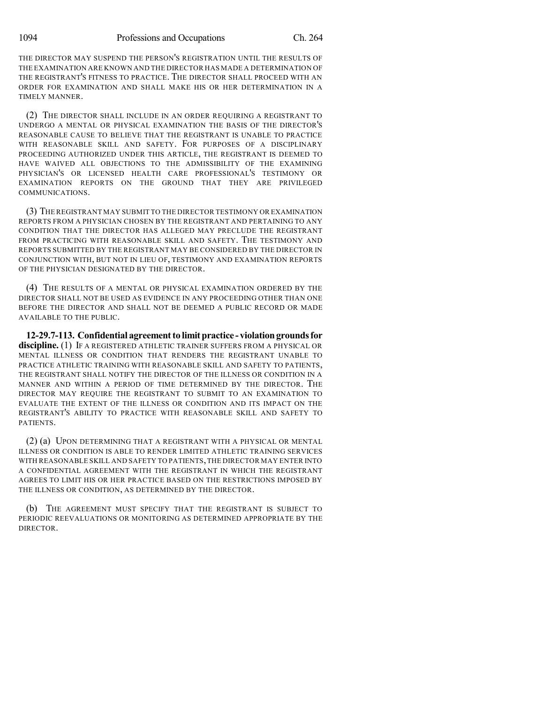1094 Professions and Occupations Ch. 264

THE DIRECTOR MAY SUSPEND THE PERSON'S REGISTRATION UNTIL THE RESULTS OF THE EXAMINATION ARE KNOWN AND THE DIRECTOR HAS MADE A DETERMINATION OF THE REGISTRANT'S FITNESS TO PRACTICE. THE DIRECTOR SHALL PROCEED WITH AN ORDER FOR EXAMINATION AND SHALL MAKE HIS OR HER DETERMINATION IN A TIMELY MANNER.

(2) THE DIRECTOR SHALL INCLUDE IN AN ORDER REQUIRING A REGISTRANT TO UNDERGO A MENTAL OR PHYSICAL EXAMINATION THE BASIS OF THE DIRECTOR'S REASONABLE CAUSE TO BELIEVE THAT THE REGISTRANT IS UNABLE TO PRACTICE WITH REASONABLE SKILL AND SAFETY. FOR PURPOSES OF A DISCIPLINARY PROCEEDING AUTHORIZED UNDER THIS ARTICLE, THE REGISTRANT IS DEEMED TO HAVE WAIVED ALL OBJECTIONS TO THE ADMISSIBILITY OF THE EXAMINING PHYSICIAN'S OR LICENSED HEALTH CARE PROFESSIONAL'S TESTIMONY OR EXAMINATION REPORTS ON THE GROUND THAT THEY ARE PRIVILEGED COMMUNICATIONS.

(3) THE REGISTRANT MAY SUBMIT TO THE DIRECTOR TESTIMONY OR EXAMINATION REPORTS FROM A PHYSICIAN CHOSEN BY THE REGISTRANT AND PERTAINING TO ANY CONDITION THAT THE DIRECTOR HAS ALLEGED MAY PRECLUDE THE REGISTRANT FROM PRACTICING WITH REASONABLE SKILL AND SAFETY. THE TESTIMONY AND REPORTS SUBMITTED BY THE REGISTRANT MAY BE CONSIDERED BY THE DIRECTOR IN CONJUNCTION WITH, BUT NOT IN LIEU OF, TESTIMONY AND EXAMINATION REPORTS OF THE PHYSICIAN DESIGNATED BY THE DIRECTOR.

(4) THE RESULTS OF A MENTAL OR PHYSICAL EXAMINATION ORDERED BY THE DIRECTOR SHALL NOT BE USED AS EVIDENCE IN ANY PROCEEDING OTHER THAN ONE BEFORE THE DIRECTOR AND SHALL NOT BE DEEMED A PUBLIC RECORD OR MADE AVAILABLE TO THE PUBLIC.

**12-29.7-113. Confidential agreementto limitpractice - violationgroundsfor discipline.** (1) IF A REGISTERED ATHLETIC TRAINER SUFFERS FROM A PHYSICAL OR MENTAL ILLNESS OR CONDITION THAT RENDERS THE REGISTRANT UNABLE TO PRACTICE ATHLETIC TRAINING WITH REASONABLE SKILL AND SAFETY TO PATIENTS, THE REGISTRANT SHALL NOTIFY THE DIRECTOR OF THE ILLNESS OR CONDITION IN A MANNER AND WITHIN A PERIOD OF TIME DETERMINED BY THE DIRECTOR. THE DIRECTOR MAY REQUIRE THE REGISTRANT TO SUBMIT TO AN EXAMINATION TO EVALUATE THE EXTENT OF THE ILLNESS OR CONDITION AND ITS IMPACT ON THE REGISTRANT'S ABILITY TO PRACTICE WITH REASONABLE SKILL AND SAFETY TO **PATIENTS** 

(2) (a) UPON DETERMINING THAT A REGISTRANT WITH A PHYSICAL OR MENTAL ILLNESS OR CONDITION IS ABLE TO RENDER LIMITED ATHLETIC TRAINING SERVICES WITH REASONABLE SKILL AND SAFETY TO PATIENTS,THE DIRECTOR MAY ENTER INTO A CONFIDENTIAL AGREEMENT WITH THE REGISTRANT IN WHICH THE REGISTRANT AGREES TO LIMIT HIS OR HER PRACTICE BASED ON THE RESTRICTIONS IMPOSED BY THE ILLNESS OR CONDITION, AS DETERMINED BY THE DIRECTOR.

(b) THE AGREEMENT MUST SPECIFY THAT THE REGISTRANT IS SUBJECT TO PERIODIC REEVALUATIONS OR MONITORING AS DETERMINED APPROPRIATE BY THE DIRECTOR.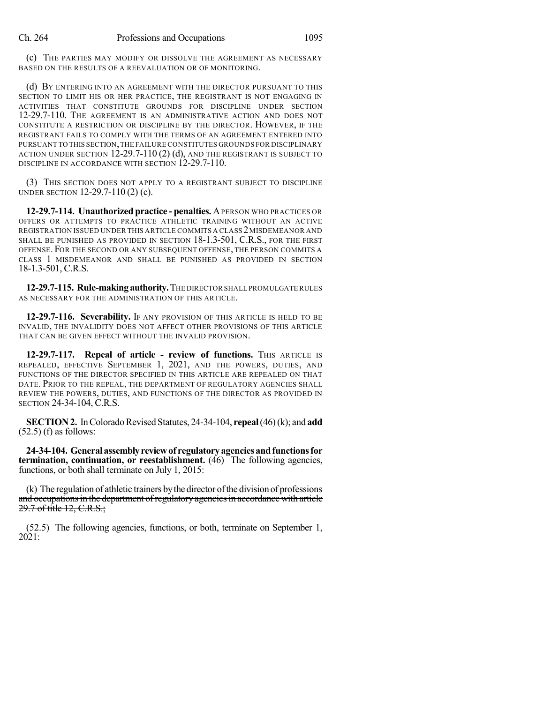(c) THE PARTIES MAY MODIFY OR DISSOLVE THE AGREEMENT AS NECESSARY BASED ON THE RESULTS OF A REEVALUATION OR OF MONITORING.

(d) BY ENTERING INTO AN AGREEMENT WITH THE DIRECTOR PURSUANT TO THIS SECTION TO LIMIT HIS OR HER PRACTICE, THE REGISTRANT IS NOT ENGAGING IN ACTIVITIES THAT CONSTITUTE GROUNDS FOR DISCIPLINE UNDER SECTION 12-29.7-110. THE AGREEMENT IS AN ADMINISTRATIVE ACTION AND DOES NOT CONSTITUTE A RESTRICTION OR DISCIPLINE BY THE DIRECTOR. HOWEVER, IF THE REGISTRANT FAILS TO COMPLY WITH THE TERMS OF AN AGREEMENT ENTERED INTO PURSUANT TO THIS SECTION,THE FAILURE CONSTITUTES GROUNDS FOR DISCIPLINARY ACTION UNDER SECTION 12-29.7-110 (2) (d), AND THE REGISTRANT IS SUBJECT TO DISCIPLINE IN ACCORDANCE WITH SECTION 12-29.7-110.

(3) THIS SECTION DOES NOT APPLY TO A REGISTRANT SUBJECT TO DISCIPLINE UNDER SECTION 12-29.7-110 (2) (c).

**12-29.7-114. Unauthorized practice - penalties.** APERSON WHO PRACTICES OR OFFERS OR ATTEMPTS TO PRACTICE ATHLETIC TRAINING WITHOUT AN ACTIVE REGISTRATION ISSUED UNDER THIS ARTICLE COMMITS A CLASS 2MISDEMEANOR AND SHALL BE PUNISHED AS PROVIDED IN SECTION 18-1.3-501, C.R.S., FOR THE FIRST OFFENSE. FOR THE SECOND OR ANY SUBSEQUENT OFFENSE, THE PERSON COMMITS A CLASS 1 MISDEMEANOR AND SHALL BE PUNISHED AS PROVIDED IN SECTION 18-1.3-501, C.R.S.

**12-29.7-115. Rule-making authority.**THE DIRECTOR SHALL PROMULGATE RULES AS NECESSARY FOR THE ADMINISTRATION OF THIS ARTICLE.

**12-29.7-116. Severability.** IF ANY PROVISION OF THIS ARTICLE IS HELD TO BE INVALID, THE INVALIDITY DOES NOT AFFECT OTHER PROVISIONS OF THIS ARTICLE THAT CAN BE GIVEN EFFECT WITHOUT THE INVALID PROVISION.

**12-29.7-117. Repeal of article - review of functions.** THIS ARTICLE IS REPEALED, EFFECTIVE SEPTEMBER 1, 2021, AND THE POWERS, DUTIES, AND FUNCTIONS OF THE DIRECTOR SPECIFIED IN THIS ARTICLE ARE REPEALED ON THAT DATE. PRIOR TO THE REPEAL, THE DEPARTMENT OF REGULATORY AGENCIES SHALL REVIEW THE POWERS, DUTIES, AND FUNCTIONS OF THE DIRECTOR AS PROVIDED IN SECTION 24-34-104, C.R.S.

**SECTION 2.** In Colorado Revised Statutes, 24-34-104, **repeal** (46) (k); and **add**  $(52.5)$  (f) as follows:

**24-34-104. Generalassemblyreviewof regulatoryagenciesandfunctionsfor termination, continuation, or reestablishment.** (46) The following agencies, functions, or both shall terminate on July 1, 2015:

(k) The regulation of athletic trainers bythe director ofthe division of professions and occupations in the department of regulatory agencies in accordance with article 29.7 of title 12, C.R.S.;

(52.5) The following agencies, functions, or both, terminate on September 1, 2021: